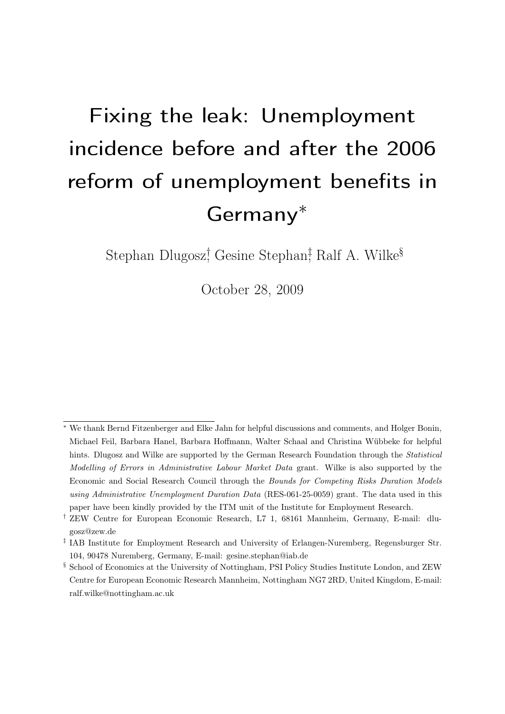# <span id="page-0-0"></span>Fixing the leak: Unemployment incidence before and after the 2006 reform of unemployment benefits in Germany<sup>∗</sup>

Stephan Dlugosz<sup>†</sup> Gesine Stephan<sup>‡</sup> Ralf A. Wilke<sup>§</sup>

October 28, 2009

<sup>∗</sup> We thank Bernd Fitzenberger and Elke Jahn for helpful discussions and comments, and Holger Bonin, Michael Feil, Barbara Hanel, Barbara Hoffmann, Walter Schaal and Christina Wübbeke for helpful hints. Dlugosz and Wilke are supported by the German Research Foundation through the *Statistical* Modelling of Errors in Administrative Labour Market Data grant. Wilke is also supported by the Economic and Social Research Council through the Bounds for Competing Risks Duration Models using Administrative Unemployment Duration Data (RES-061-25-0059) grant. The data used in this paper have been kindly provided by the ITM unit of the Institute for Employment Research.

<sup>†</sup> ZEW Centre for European Economic Research, L7 1, 68161 Mannheim, Germany, E-mail: dlugosz@zew.de

<sup>‡</sup> IAB Institute for Employment Research and University of Erlangen-Nuremberg, Regensburger Str. 104, 90478 Nuremberg, Germany, E-mail: gesine.stephan@iab.de

<sup>§</sup> School of Economics at the University of Nottingham, PSI Policy Studies Institute London, and ZEW Centre for European Economic Research Mannheim, Nottingham NG7 2RD, United Kingdom, E-mail: ralf.wilke@nottingham.ac.uk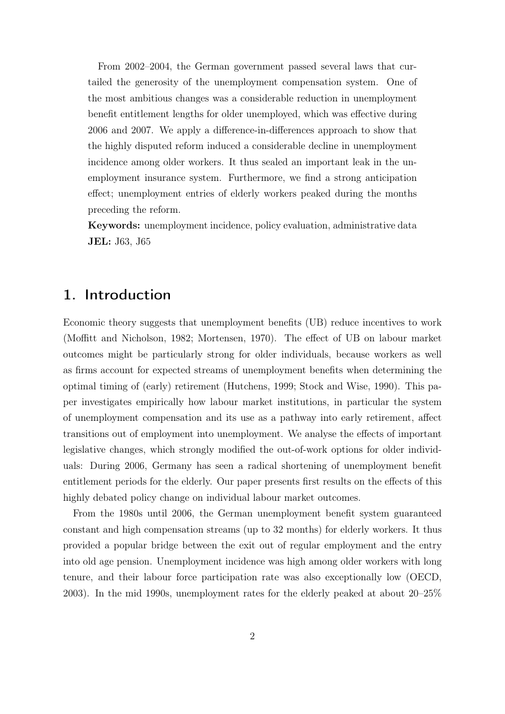From 2002–2004, the German government passed several laws that curtailed the generosity of the unemployment compensation system. One of the most ambitious changes was a considerable reduction in unemployment benefit entitlement lengths for older unemployed, which was effective during 2006 and 2007. We apply a difference-in-differences approach to show that the highly disputed reform induced a considerable decline in unemployment incidence among older workers. It thus sealed an important leak in the unemployment insurance system. Furthermore, we find a strong anticipation effect; unemployment entries of elderly workers peaked during the months preceding the reform.

Keywords: unemployment incidence, policy evaluation, administrative data JEL: J63, J65

# 1. Introduction

Economic theory suggests that unemployment benefits (UB) reduce incentives to work [\(Moffitt and Nicholson, 1982;](#page-26-0) [Mortensen, 1970\)](#page-26-1). The effect of UB on labour market outcomes might be particularly strong for older individuals, because workers as well as firms account for expected streams of unemployment benefits when determining the optimal timing of (early) retirement [\(Hutchens, 1999;](#page-25-0) [Stock and Wise, 1990\)](#page-26-2). This paper investigates empirically how labour market institutions, in particular the system of unemployment compensation and its use as a pathway into early retirement, affect transitions out of employment into unemployment. We analyse the effects of important legislative changes, which strongly modified the out-of-work options for older individuals: During 2006, Germany has seen a radical shortening of unemployment benefit entitlement periods for the elderly. Our paper presents first results on the effects of this highly debated policy change on individual labour market outcomes.

From the 1980s until 2006, the German unemployment benefit system guaranteed constant and high compensation streams (up to 32 months) for elderly workers. It thus provided a popular bridge between the exit out of regular employment and the entry into old age pension. Unemployment incidence was high among older workers with long tenure, and their labour force participation rate was also exceptionally low [\(OECD,](#page-26-3) [2003\)](#page-26-3). In the mid 1990s, unemployment rates for the elderly peaked at about 20–25%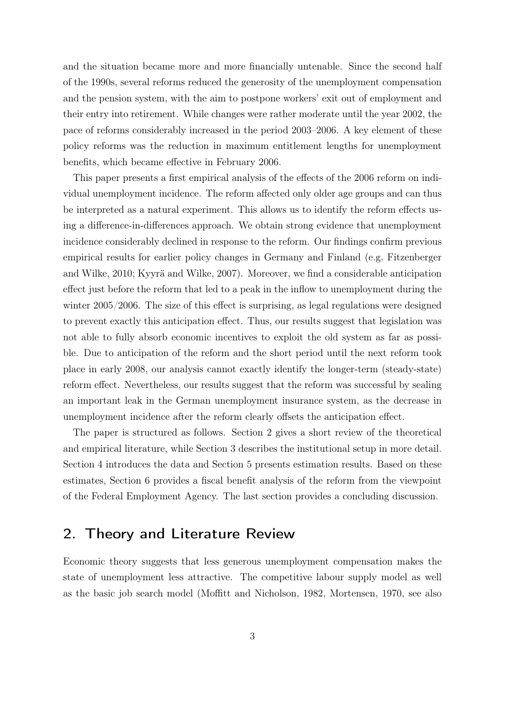and the situation became more and more financially untenable. Since the second half of the 1990s, several reforms reduced the generosity of the unemployment compensation and the pension system, with the aim to postpone workers' exit out of employment and their entry into retirement. While changes were rather moderate until the year 2002, the pace of reforms considerably increased in the period 2003–2006. A key element of these policy reforms was the reduction in maximum entitlement lengths for unemployment benefits, which became effective in February 2006.

This paper presents a first empirical analysis of the effects of the 2006 reform on individual unemployment incidence. The reform affected only older age groups and can thus be interpreted as a natural experiment. This allows us to identify the reform effects using a difference-in-differences approach. We obtain strong evidence that unemployment incidence considerably declined in response to the reform. Our findings confirm previous empirical results for earlier policy changes in Germany and Finland (e.g. [Fitzenberger](#page-25-1) [and Wilke, 2010;](#page-25-1) [Kyyrä and Wilke, 2007\)](#page-25-2). Moreover, we find a considerable anticipation effect just before the reform that led to a peak in the inflow to unemployment during the winter 2005/2006. The size of this effect is surprising, as legal regulations were designed to prevent exactly this anticipation effect. Thus, our results suggest that legislation was not able to fully absorb economic incentives to exploit the old system as far as possible. Due to anticipation of the reform and the short period until the next reform took place in early 2008, our analysis cannot exactly identify the longer-term (steady-state) reform effect. Nevertheless, our results suggest that the reform was successful by sealing an important leak in the German unemployment insurance system, as the decrease in unemployment incidence after the reform clearly offsets the anticipation effect.

The paper is structured as follows. Section 2 gives a short review of the theoretical and empirical literature, while Section 3 describes the institutional setup in more detail. Section 4 introduces the data and Section 5 presents estimation results. Based on these estimates, Section 6 provides a fiscal benefit analysis of the reform from the viewpoint of the Federal Employment Agency. The last section provides a concluding discussion.

## 2. Theory and Literature Review

Economic theory suggests that less generous unemployment compensation makes the state of unemployment less attractive. The competitive labour supply model as well as the basic job search model [\(Moffitt and Nicholson, 1982,](#page-26-0) [Mortensen, 1970,](#page-26-1) see also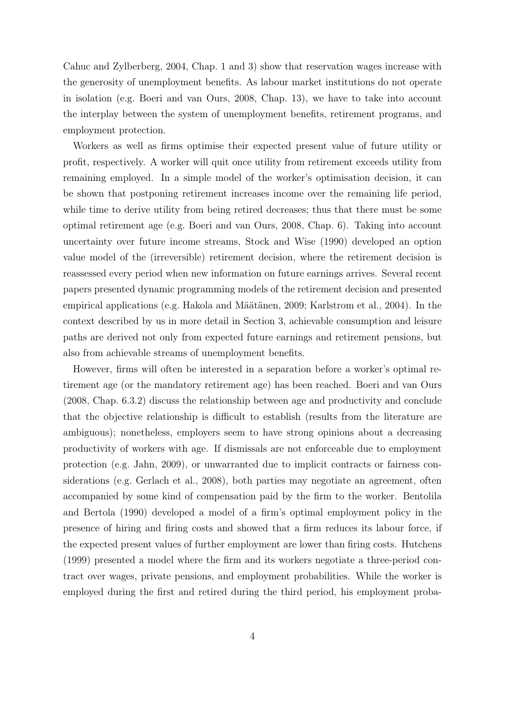[Cahuc and Zylberberg, 2004,](#page-25-3) Chap. 1 and 3) show that reservation wages increase with the generosity of unemployment benefits. As labour market institutions do not operate in isolation (e.g. [Boeri and van Ours, 2008,](#page-24-0) Chap. 13), we have to take into account the interplay between the system of unemployment benefits, retirement programs, and employment protection.

Workers as well as firms optimise their expected present value of future utility or profit, respectively. A worker will quit once utility from retirement exceeds utility from remaining employed. In a simple model of the worker's optimisation decision, it can be shown that postponing retirement increases income over the remaining life period, while time to derive utility from being retired decreases; thus that there must be some optimal retirement age (e.g. [Boeri and van Ours, 2008,](#page-24-0) Chap. 6). Taking into account uncertainty over future income streams, [Stock and Wise](#page-26-2) [\(1990\)](#page-26-2) developed an option value model of the (irreversible) retirement decision, where the retirement decision is reassessed every period when new information on future earnings arrives. Several recent papers presented dynamic programming models of the retirement decision and presented empirical applications (e.g. [Hakola and Määtänen, 2009;](#page-25-4) [Karlstrom et al., 2004\)](#page-25-5). In the context described by us in more detail in Section 3, achievable consumption and leisure paths are derived not only from expected future earnings and retirement pensions, but also from achievable streams of unemployment benefits.

However, firms will often be interested in a separation before a worker's optimal retirement age (or the mandatory retirement age) has been reached. [Boeri and van Ours](#page-24-0) [\(2008,](#page-24-0) Chap. 6.3.2) discuss the relationship between age and productivity and conclude that the objective relationship is difficult to establish (results from the literature are ambiguous); nonetheless, employers seem to have strong opinions about a decreasing productivity of workers with age. If dismissals are not enforceable due to employment protection (e.g. [Jahn, 2009\)](#page-25-6), or unwarranted due to implicit contracts or fairness considerations (e.g. [Gerlach et al., 2008\)](#page-25-7), both parties may negotiate an agreement, often accompanied by some kind of compensation paid by the firm to the worker. [Bentolila](#page-24-1) [and Bertola](#page-24-1) [\(1990\)](#page-24-1) developed a model of a firm's optimal employment policy in the presence of hiring and firing costs and showed that a firm reduces its labour force, if the expected present values of further employment are lower than firing costs. [Hutchens](#page-25-0) [\(1999\)](#page-25-0) presented a model where the firm and its workers negotiate a three-period contract over wages, private pensions, and employment probabilities. While the worker is employed during the first and retired during the third period, his employment proba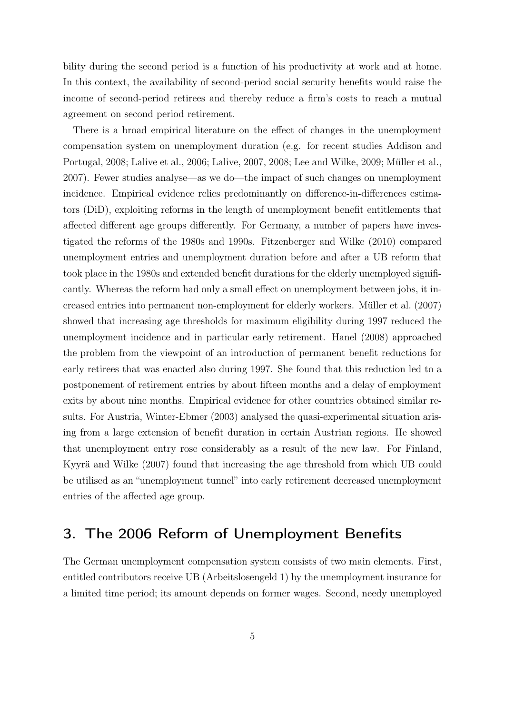bility during the second period is a function of his productivity at work and at home. In this context, the availability of second-period social security benefits would raise the income of second-period retirees and thereby reduce a firm's costs to reach a mutual agreement on second period retirement.

There is a broad empirical literature on the effect of changes in the unemployment compensation system on unemployment duration (e.g. for recent studies [Addison and](#page-24-2) [Portugal, 2008;](#page-24-2) [Lalive et al., 2006;](#page-25-8) [Lalive, 2007,](#page-25-9) [2008;](#page-26-4) [Lee and Wilke, 2009;](#page-26-5) [Müller et al.,](#page-26-6) [2007\)](#page-26-6). Fewer studies analyse—as we do—the impact of such changes on unemployment incidence. Empirical evidence relies predominantly on difference-in-differences estimators (DiD), exploiting reforms in the length of unemployment benefit entitlements that affected different age groups differently. For Germany, a number of papers have investigated the reforms of the 1980s and 1990s. [Fitzenberger and Wilke](#page-25-1) [\(2010\)](#page-25-1) compared unemployment entries and unemployment duration before and after a UB reform that took place in the 1980s and extended benefit durations for the elderly unemployed significantly. Whereas the reform had only a small effect on unemployment between jobs, it increased entries into permanent non-employment for elderly workers. [Müller et al.](#page-26-6) [\(2007\)](#page-26-6) showed that increasing age thresholds for maximum eligibility during 1997 reduced the unemployment incidence and in particular early retirement. [Hanel](#page-25-10) [\(2008\)](#page-25-10) approached the problem from the viewpoint of an introduction of permanent benefit reductions for early retirees that was enacted also during 1997. She found that this reduction led to a postponement of retirement entries by about fifteen months and a delay of employment exits by about nine months. Empirical evidence for other countries obtained similar results. For Austria, [Winter-Ebmer](#page-26-7) [\(2003\)](#page-26-7) analysed the quasi-experimental situation arising from a large extension of benefit duration in certain Austrian regions. He showed that unemployment entry rose considerably as a result of the new law. For Finland, [Kyyrä and Wilke](#page-25-2) [\(2007\)](#page-25-2) found that increasing the age threshold from which UB could be utilised as an "unemployment tunnel" into early retirement decreased unemployment entries of the affected age group.

## 3. The 2006 Reform of Unemployment Benefits

The German unemployment compensation system consists of two main elements. First, entitled contributors receive UB (Arbeitslosengeld 1) by the unemployment insurance for a limited time period; its amount depends on former wages. Second, needy unemployed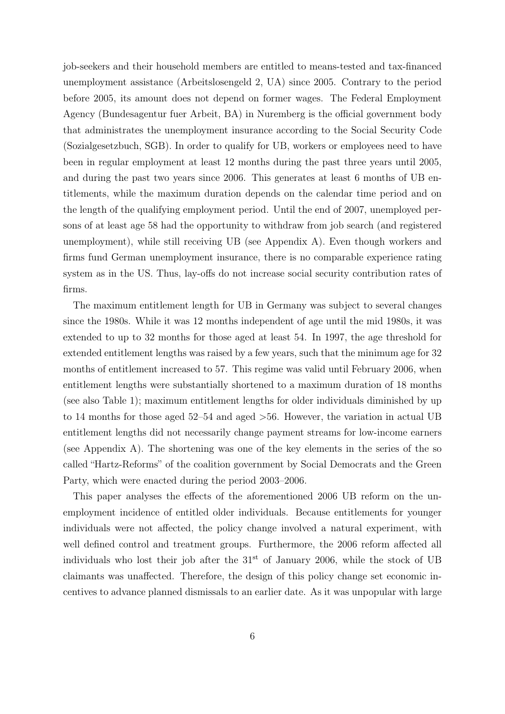job-seekers and their household members are entitled to means-tested and tax-financed unemployment assistance (Arbeitslosengeld 2, UA) since 2005. Contrary to the period before 2005, its amount does not depend on former wages. The Federal Employment Agency (Bundesagentur fuer Arbeit, BA) in Nuremberg is the official government body that administrates the unemployment insurance according to the Social Security Code (Sozialgesetzbuch, SGB). In order to qualify for UB, workers or employees need to have been in regular employment at least 12 months during the past three years until 2005, and during the past two years since 2006. This generates at least 6 months of UB entitlements, while the maximum duration depends on the calendar time period and on the length of the qualifying employment period. Until the end of 2007, unemployed persons of at least age 58 had the opportunity to withdraw from job search (and registered unemployment), while still receiving UB (see Appendix [A\)](#page-27-0). Even though workers and firms fund German unemployment insurance, there is no comparable experience rating system as in the US. Thus, lay-offs do not increase social security contribution rates of firms.

The maximum entitlement length for UB in Germany was subject to several changes since the 1980s. While it was 12 months independent of age until the mid 1980s, it was extended to up to 32 months for those aged at least 54. In 1997, the age threshold for extended entitlement lengths was raised by a few years, such that the minimum age for 32 months of entitlement increased to 57. This regime was valid until February 2006, when entitlement lengths were substantially shortened to a maximum duration of 18 months (see also Table [1\)](#page-6-0); maximum entitlement lengths for older individuals diminished by up to 14 months for those aged 52–54 and aged >56. However, the variation in actual UB entitlement lengths did not necessarily change payment streams for low-income earners (see Appendix [A\)](#page-27-0). The shortening was one of the key elements in the series of the so called "Hartz-Reforms" of the coalition government by Social Democrats and the Green Party, which were enacted during the period 2003–2006.

This paper analyses the effects of the aforementioned 2006 UB reform on the unemployment incidence of entitled older individuals. Because entitlements for younger individuals were not affected, the policy change involved a natural experiment, with well defined control and treatment groups. Furthermore, the 2006 reform affected all individuals who lost their job after the  $31<sup>st</sup>$  of January 2006, while the stock of UB claimants was unaffected. Therefore, the design of this policy change set economic incentives to advance planned dismissals to an earlier date. As it was unpopular with large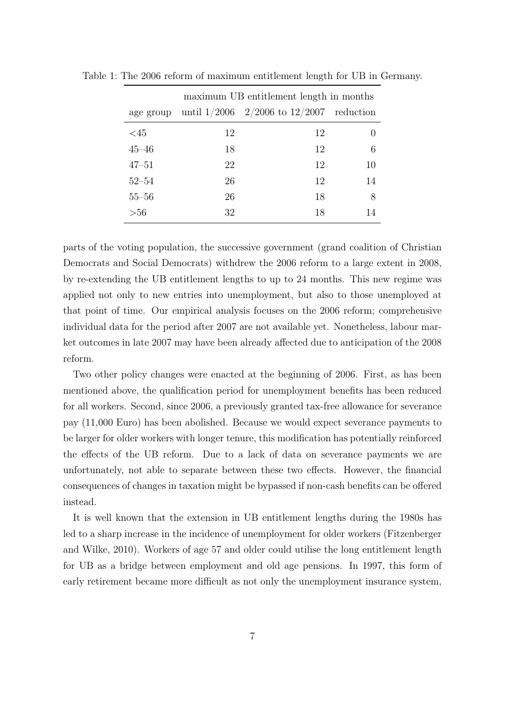<span id="page-6-0"></span>

| maximum UB entitlement length in months |    |                                              |    |  |
|-----------------------------------------|----|----------------------------------------------|----|--|
| age group                               |    | until $1/2006$ 2/2006 to $12/2007$ reduction |    |  |
| <45                                     | 12 | 12                                           |    |  |
| $45 - 46$                               | 18 | 12                                           | 6  |  |
| $47 - 51$                               | 22 | 12                                           | 10 |  |
| $52 - 54$                               | 26 | 12                                           | 14 |  |
| $55 - 56$                               | 26 | 18                                           | 8  |  |
| $>$ 56                                  | 32 | 18                                           |    |  |

Table 1: The 2006 reform of maximum entitlement length for UB in Germany.

parts of the voting population, the successive government (grand coalition of Christian Democrats and Social Democrats) withdrew the 2006 reform to a large extent in 2008, by re-extending the UB entitlement lengths to up to 24 months. This new regime was applied not only to new entries into unemployment, but also to those unemployed at that point of time. Our empirical analysis focuses on the 2006 reform; comprehensive individual data for the period after 2007 are not available yet. Nonetheless, labour market outcomes in late 2007 may have been already affected due to anticipation of the 2008 reform.

Two other policy changes were enacted at the beginning of 2006. First, as has been mentioned above, the qualification period for unemployment benefits has been reduced for all workers. Second, since 2006, a previously granted tax-free allowance for severance pay (11,000 Euro) has been abolished. Because we would expect severance payments to be larger for older workers with longer tenure, this modification has potentially reinforced the effects of the UB reform. Due to a lack of data on severance payments we are unfortunately, not able to separate between these two effects. However, the financial consequences of changes in taxation might be bypassed if non-cash benefits can be offered instead.

It is well known that the extension in UB entitlement lengths during the 1980s has led to a sharp increase in the incidence of unemployment for older workers [\(Fitzenberger](#page-25-1) [and Wilke, 2010\)](#page-25-1). Workers of age 57 and older could utilise the long entitlement length for UB as a bridge between employment and old age pensions. In 1997, this form of early retirement became more difficult as not only the unemployment insurance system,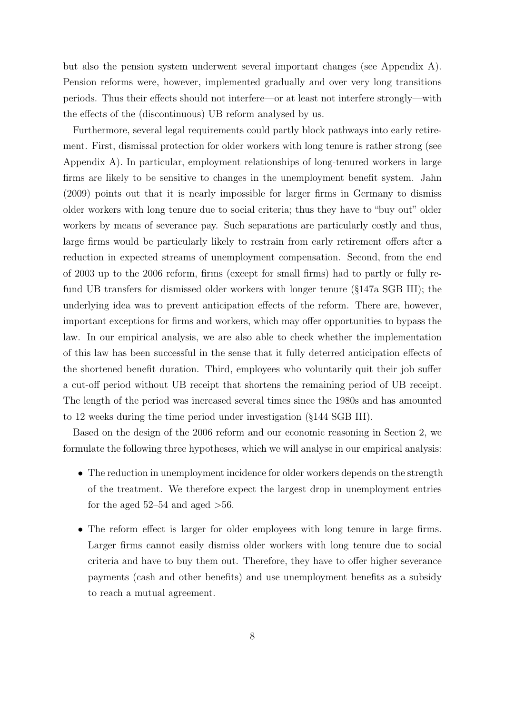but also the pension system underwent several important changes (see Appendix [A\)](#page-27-0). Pension reforms were, however, implemented gradually and over very long transitions periods. Thus their effects should not interfere—or at least not interfere strongly—with the effects of the (discontinuous) UB reform analysed by us.

Furthermore, several legal requirements could partly block pathways into early retirement. First, dismissal protection for older workers with long tenure is rather strong (see Appendix [A\)](#page-27-0). In particular, employment relationships of long-tenured workers in large firms are likely to be sensitive to changes in the unemployment benefit system. [Jahn](#page-25-6) [\(2009\)](#page-25-6) points out that it is nearly impossible for larger firms in Germany to dismiss older workers with long tenure due to social criteria; thus they have to "buy out" older workers by means of severance pay. Such separations are particularly costly and thus, large firms would be particularly likely to restrain from early retirement offers after a reduction in expected streams of unemployment compensation. Second, from the end of 2003 up to the 2006 reform, firms (except for small firms) had to partly or fully refund UB transfers for dismissed older workers with longer tenure (§147a SGB III); the underlying idea was to prevent anticipation effects of the reform. There are, however, important exceptions for firms and workers, which may offer opportunities to bypass the law. In our empirical analysis, we are also able to check whether the implementation of this law has been successful in the sense that it fully deterred anticipation effects of the shortened benefit duration. Third, employees who voluntarily quit their job suffer a cut-off period without UB receipt that shortens the remaining period of UB receipt. The length of the period was increased several times since the 1980s and has amounted to 12 weeks during the time period under investigation (§144 SGB III).

Based on the design of the 2006 reform and our economic reasoning in Section 2, we formulate the following three hypotheses, which we will analyse in our empirical analysis:

- The reduction in unemployment incidence for older workers depends on the strength of the treatment. We therefore expect the largest drop in unemployment entries for the aged  $52-54$  and aged  $>56$ .
- The reform effect is larger for older employees with long tenure in large firms. Larger firms cannot easily dismiss older workers with long tenure due to social criteria and have to buy them out. Therefore, they have to offer higher severance payments (cash and other benefits) and use unemployment benefits as a subsidy to reach a mutual agreement.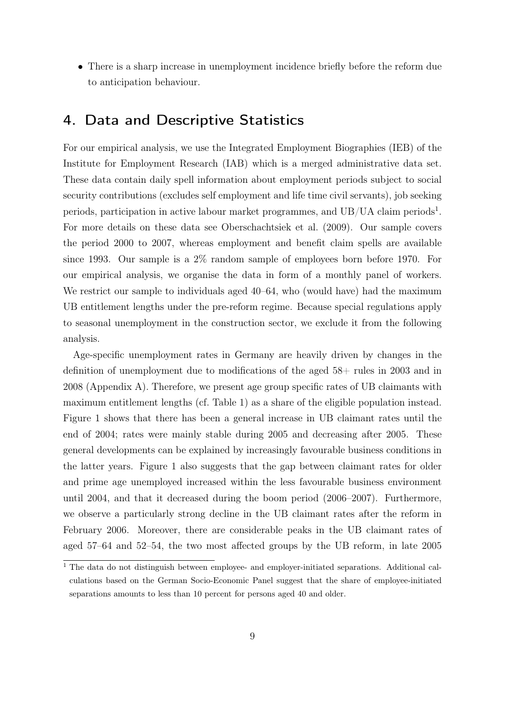• There is a sharp increase in unemployment incidence briefly before the reform due to anticipation behaviour.

# 4. Data and Descriptive Statistics

For our empirical analysis, we use the Integrated Employment Biographies (IEB) of the Institute for Employment Research (IAB) which is a merged administrative data set. These data contain daily spell information about employment periods subject to social security contributions (excludes self employment and life time civil servants), job seeking periods, participation in active labour market programmes, and  $UB/UA$  claim periods<sup>[1](#page-0-0)</sup>. For more details on these data see [Oberschachtsiek et al.](#page-26-8) [\(2009\)](#page-26-8). Our sample covers the period 2000 to 2007, whereas employment and benefit claim spells are available since 1993. Our sample is a 2% random sample of employees born before 1970. For our empirical analysis, we organise the data in form of a monthly panel of workers. We restrict our sample to individuals aged  $40-64$ , who (would have) had the maximum UB entitlement lengths under the pre-reform regime. Because special regulations apply to seasonal unemployment in the construction sector, we exclude it from the following analysis.

Age-specific unemployment rates in Germany are heavily driven by changes in the definition of unemployment due to modifications of the aged 58+ rules in 2003 and in 2008 (Appendix [A\)](#page-27-0). Therefore, we present age group specific rates of UB claimants with maximum entitlement lengths (cf. Table [1\)](#page-6-0) as a share of the eligible population instead. Figure [1](#page-9-0) shows that there has been a general increase in UB claimant rates until the end of 2004; rates were mainly stable during 2005 and decreasing after 2005. These general developments can be explained by increasingly favourable business conditions in the latter years. Figure [1](#page-9-0) also suggests that the gap between claimant rates for older and prime age unemployed increased within the less favourable business environment until 2004, and that it decreased during the boom period (2006–2007). Furthermore, we observe a particularly strong decline in the UB claimant rates after the reform in February 2006. Moreover, there are considerable peaks in the UB claimant rates of aged 57–64 and 52–54, the two most affected groups by the UB reform, in late 2005

<sup>&</sup>lt;sup>1</sup> The data do not distinguish between employee- and employer-initiated separations. Additional calculations based on the German Socio-Economic Panel suggest that the share of employee-initiated separations amounts to less than 10 percent for persons aged 40 and older.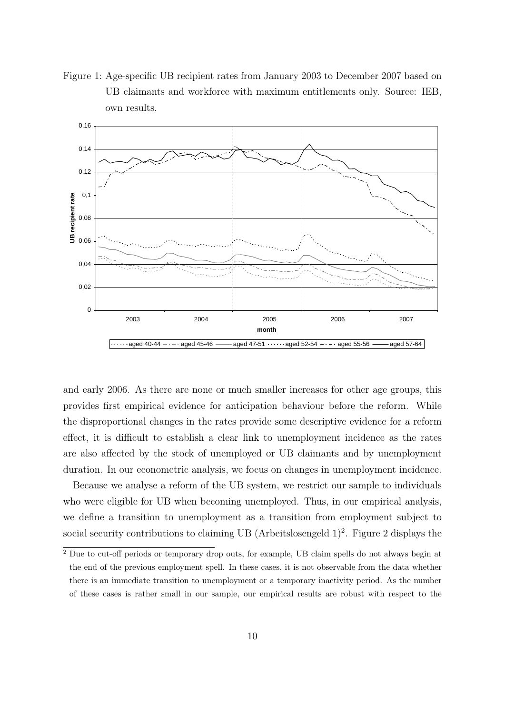<span id="page-9-0"></span>Figure 1: Age-specific UB recipient rates from January 2003 to December 2007 based on UB claimants and workforce with maximum entitlements only. Source: IEB, own results.



and early 2006. As there are none or much smaller increases for other age groups, this provides first empirical evidence for anticipation behaviour before the reform. While the disproportional changes in the rates provide some descriptive evidence for a reform effect, it is difficult to establish a clear link to unemployment incidence as the rates are also affected by the stock of unemployed or UB claimants and by unemployment duration. In our econometric analysis, we focus on changes in unemployment incidence.

Because we analyse a reform of the UB system, we restrict our sample to individuals who were eligible for UB when becoming unemployed. Thus, in our empirical analysis, we define a transition to unemployment as a transition from employment subject to social security contributions to claiming UB (Arbeitslosengeld  $1)^2$  $1)^2$ . Figure [2](#page-11-0) displays the

<sup>&</sup>lt;sup>2</sup> Due to cut-off periods or temporary drop outs, for example, UB claim spells do not always begin at the end of the previous employment spell. In these cases, it is not observable from the data whether there is an immediate transition to unemployment or a temporary inactivity period. As the number of these cases is rather small in our sample, our empirical results are robust with respect to the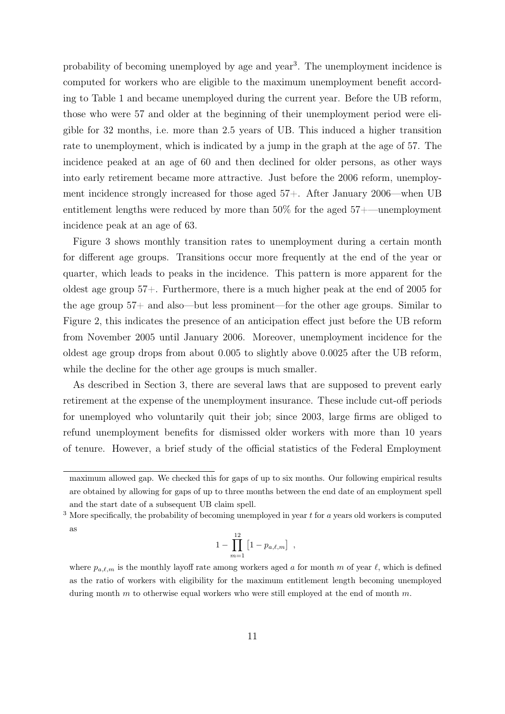probability of becoming unemployed by age and year<sup>[3](#page-0-0)</sup>. The unemployment incidence is computed for workers who are eligible to the maximum unemployment benefit according to Table [1](#page-6-0) and became unemployed during the current year. Before the UB reform, those who were 57 and older at the beginning of their unemployment period were eligible for 32 months, i.e. more than 2.5 years of UB. This induced a higher transition rate to unemployment, which is indicated by a jump in the graph at the age of 57. The incidence peaked at an age of 60 and then declined for older persons, as other ways into early retirement became more attractive. Just before the 2006 reform, unemployment incidence strongly increased for those aged 57+. After January 2006—when UB entitlement lengths were reduced by more than 50% for the aged 57+—unemployment incidence peak at an age of 63.

Figure [3](#page-12-0) shows monthly transition rates to unemployment during a certain month for different age groups. Transitions occur more frequently at the end of the year or quarter, which leads to peaks in the incidence. This pattern is more apparent for the oldest age group 57+. Furthermore, there is a much higher peak at the end of 2005 for the age group 57+ and also—but less prominent—for the other age groups. Similar to Figure [2,](#page-11-0) this indicates the presence of an anticipation effect just before the UB reform from November 2005 until January 2006. Moreover, unemployment incidence for the oldest age group drops from about 0.005 to slightly above 0.0025 after the UB reform, while the decline for the other age groups is much smaller.

As described in Section 3, there are several laws that are supposed to prevent early retirement at the expense of the unemployment insurance. These include cut-off periods for unemployed who voluntarily quit their job; since 2003, large firms are obliged to refund unemployment benefits for dismissed older workers with more than 10 years of tenure. However, a brief study of the official statistics of the Federal Employment

$$
1 - \prod_{m=1}^{12} [1 - p_{a,\ell,m}] ,
$$

maximum allowed gap. We checked this for gaps of up to six months. Our following empirical results are obtained by allowing for gaps of up to three months between the end date of an employment spell and the start date of a subsequent UB claim spell.

 $3$  More specifically, the probability of becoming unemployed in year t for a years old workers is computed as

where  $p_{a,\ell,m}$  is the monthly layoff rate among workers aged a for month m of year  $\ell$ , which is defined as the ratio of workers with eligibility for the maximum entitlement length becoming unemployed during month  $m$  to otherwise equal workers who were still employed at the end of month  $m$ .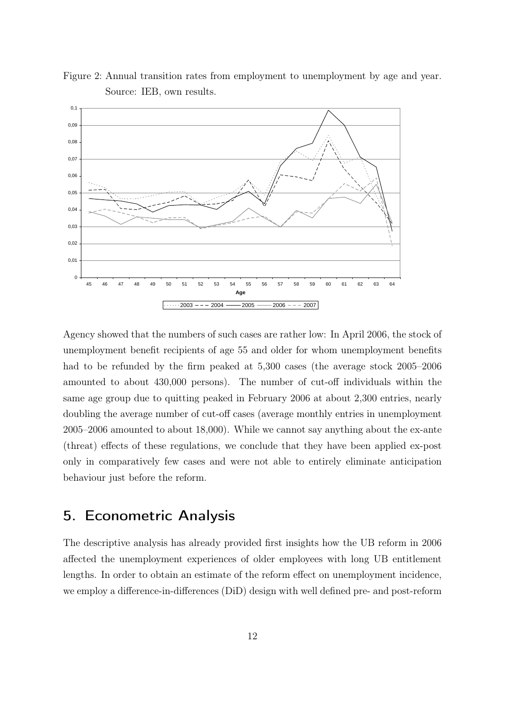

<span id="page-11-0"></span>Figure 2: Annual transition rates from employment to unemployment by age and year. Source: IEB, own results.

Agency showed that the numbers of such cases are rather low: In April 2006, the stock of unemployment benefit recipients of age 55 and older for whom unemployment benefits had to be refunded by the firm peaked at 5,300 cases (the average stock 2005–2006 amounted to about 430,000 persons). The number of cut-off individuals within the same age group due to quitting peaked in February 2006 at about 2,300 entries, nearly doubling the average number of cut-off cases (average monthly entries in unemployment 2005–2006 amounted to about 18,000). While we cannot say anything about the ex-ante (threat) effects of these regulations, we conclude that they have been applied ex-post only in comparatively few cases and were not able to entirely eliminate anticipation behaviour just before the reform.

## 5. Econometric Analysis

The descriptive analysis has already provided first insights how the UB reform in 2006 affected the unemployment experiences of older employees with long UB entitlement lengths. In order to obtain an estimate of the reform effect on unemployment incidence, we employ a difference-in-differences (DiD) design with well defined pre- and post-reform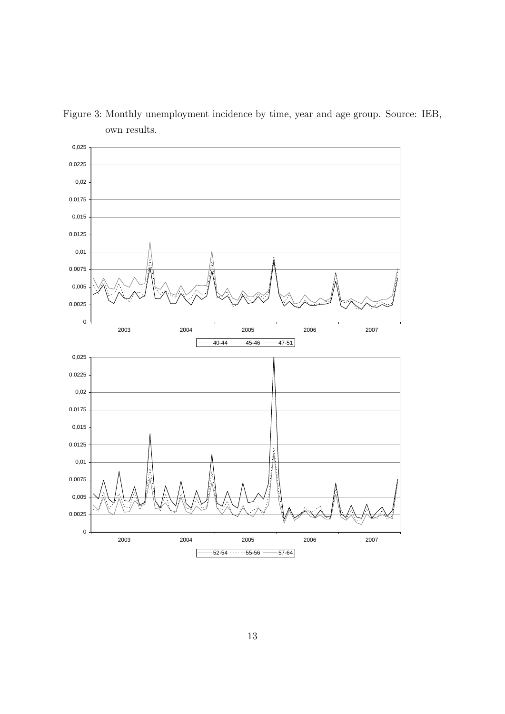

<span id="page-12-0"></span>Figure 3: Monthly unemployment incidence by time, year and age group. Source: IEB, own results.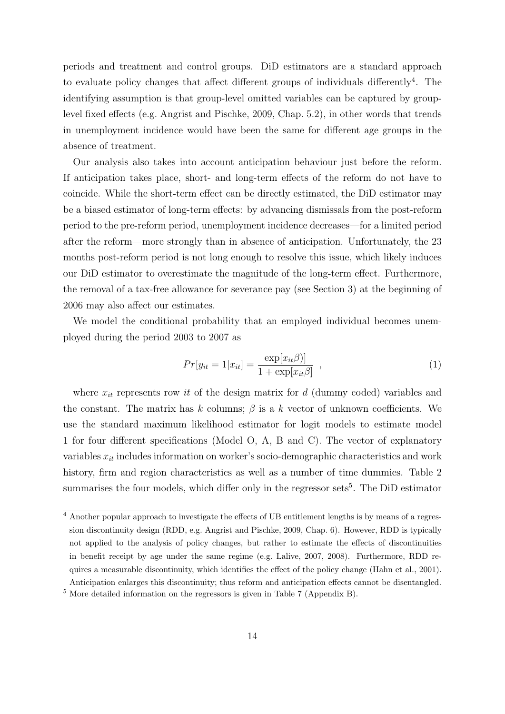periods and treatment and control groups. DiD estimators are a standard approach to evaluate policy changes that affect different groups of individuals differently<sup>[4](#page-0-0)</sup>. The identifying assumption is that group-level omitted variables can be captured by grouplevel fixed effects (e.g. [Angrist and Pischke, 2009,](#page-24-3) Chap. 5.2), in other words that trends in unemployment incidence would have been the same for different age groups in the absence of treatment.

Our analysis also takes into account anticipation behaviour just before the reform. If anticipation takes place, short- and long-term effects of the reform do not have to coincide. While the short-term effect can be directly estimated, the DiD estimator may be a biased estimator of long-term effects: by advancing dismissals from the post-reform period to the pre-reform period, unemployment incidence decreases—for a limited period after the reform—more strongly than in absence of anticipation. Unfortunately, the 23 months post-reform period is not long enough to resolve this issue, which likely induces our DiD estimator to overestimate the magnitude of the long-term effect. Furthermore, the removal of a tax-free allowance for severance pay (see Section 3) at the beginning of 2006 may also affect our estimates.

We model the conditional probability that an employed individual becomes unemployed during the period 2003 to 2007 as

<span id="page-13-0"></span>
$$
Pr[y_{it} = 1|x_{it}] = \frac{\exp[x_{it}\beta)]}{1 + \exp[x_{it}\beta]}, \qquad (1)
$$

where  $x_{it}$  represents row it of the design matrix for d (dummy coded) variables and the constant. The matrix has k columns;  $\beta$  is a k vector of unknown coefficients. We use the standard maximum likelihood estimator for logit models to estimate model [1](#page-13-0) for four different specifications (Model O, A, B and C). The vector of explanatory variables  $x_{it}$  includes information on worker's socio-demographic characteristics and work history, firm and region characteristics as well as a number of time dummies. Table [2](#page-15-0) summarises the four models, which differ only in the regressor sets<sup>[5](#page-0-0)</sup>. The DiD estimator

<sup>4</sup> Another popular approach to investigate the effects of UB entitlement lengths is by means of a regression discontinuity design (RDD, e.g. [Angrist and Pischke, 2009,](#page-24-3) Chap. 6). However, RDD is typically not applied to the analysis of policy changes, but rather to estimate the effects of discontinuities in benefit receipt by age under the same regime (e.g. [Lalive, 2007,](#page-25-9) [2008\)](#page-26-4). Furthermore, RDD requires a measurable discontinuity, which identifies the effect of the policy change [\(Hahn et al., 2001\)](#page-25-11). Anticipation enlarges this discontinuity; thus reform and anticipation effects cannot be disentangled.

<sup>5</sup> More detailed information on the regressors is given in Table [7](#page-29-0) (Appendix [B\)](#page-29-1).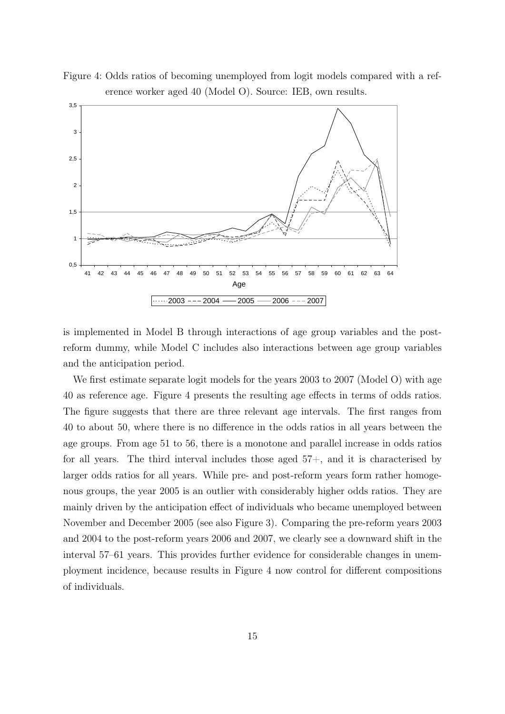

<span id="page-14-0"></span>Figure 4: Odds ratios of becoming unemployed from logit models compared with a reference worker aged 40 (Model O). Source: IEB, own results.

is implemented in Model B through interactions of age group variables and the postreform dummy, while Model C includes also interactions between age group variables and the anticipation period.

We first estimate separate logit models for the years 2003 to 2007 (Model O) with age 40 as reference age. Figure [4](#page-14-0) presents the resulting age effects in terms of odds ratios. The figure suggests that there are three relevant age intervals. The first ranges from 40 to about 50, where there is no difference in the odds ratios in all years between the age groups. From age 51 to 56, there is a monotone and parallel increase in odds ratios for all years. The third interval includes those aged  $57+$ , and it is characterised by larger odds ratios for all years. While pre- and post-reform years form rather homogenous groups, the year 2005 is an outlier with considerably higher odds ratios. They are mainly driven by the anticipation effect of individuals who became unemployed between November and December 2005 (see also Figure [3\)](#page-12-0). Comparing the pre-reform years 2003 and 2004 to the post-reform years 2006 and 2007, we clearly see a downward shift in the interval 57–61 years. This provides further evidence for considerable changes in unemployment incidence, because results in Figure [4](#page-14-0) now control for different compositions of individuals.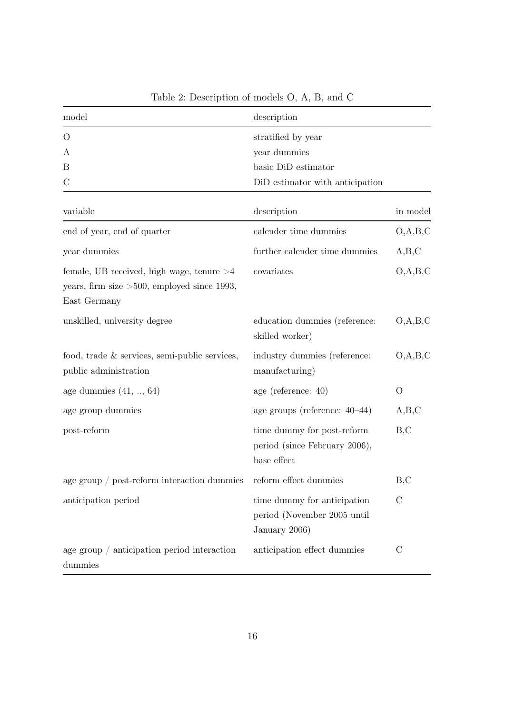| model                                                                                                         | description                                                                 |               |
|---------------------------------------------------------------------------------------------------------------|-----------------------------------------------------------------------------|---------------|
| O                                                                                                             | stratified by year                                                          |               |
| А                                                                                                             | year dummies                                                                |               |
| B                                                                                                             | basic DiD estimator                                                         |               |
| $\mathcal{C}$                                                                                                 | DiD estimator with anticipation                                             |               |
| variable                                                                                                      | description                                                                 | in model      |
| end of year, end of quarter                                                                                   | calender time dummies                                                       | O, A, B, C    |
| year dummies                                                                                                  | further calender time dummies                                               | A,B,C         |
| female, UB received, high wage, tenure $>4$<br>years, firm size $>500$ , employed since 1993,<br>East Germany | covariates                                                                  | O, A, B, C    |
| unskilled, university degree                                                                                  | education dummies (reference:<br>skilled worker)                            | O, A, B, C    |
| food, trade $&$ services, semi-public services,<br>public administration                                      | industry dummies (reference:<br>manufacturing)                              | O, A, B, C    |
| age dummies $(41, \ldots, 64)$                                                                                | age (reference: 40)                                                         | O             |
| age group dummies                                                                                             | age groups (reference: $40-44$ )                                            | A,B,C         |
| post-reform                                                                                                   | time dummy for post-reform<br>period (since February 2006),<br>base effect  | B, C          |
| age group $/$ post-reform interaction dummies                                                                 | reform effect dummies                                                       | B, C          |
| anticipation period                                                                                           | time dummy for anticipation<br>period (November 2005 until<br>January 2006) | $\mathcal{C}$ |
| age group $/$ anticipation period interaction                                                                 | anticipation effect dummies                                                 | $\mathcal{C}$ |
| dummies                                                                                                       |                                                                             |               |

<span id="page-15-0"></span>Table 2: Description of models O, A, B, and C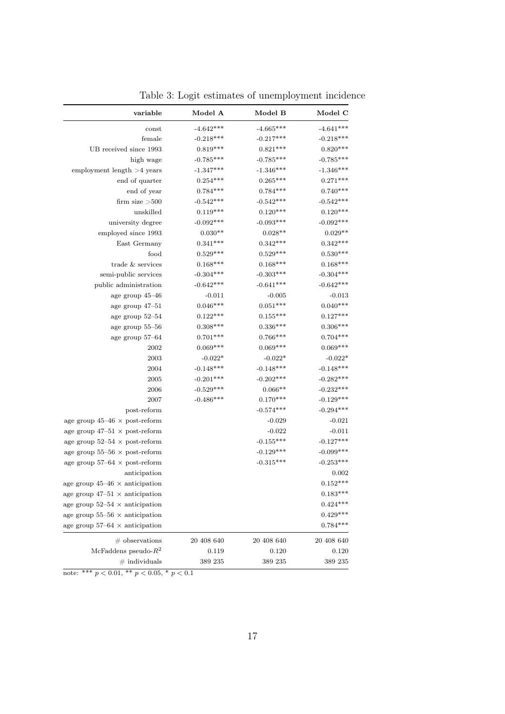| variable                              | Model A     | Model B     | Model C     |
|---------------------------------------|-------------|-------------|-------------|
| const                                 | $-4.642***$ | $-4.665***$ | $-4.641***$ |
| female                                | $-0.218***$ | $-0.217***$ | $-0.218***$ |
| UB received since 1993                | $0.819***$  | $0.821***$  | $0.820***$  |
| high wage                             | $-0.785***$ | $-0.785***$ | $-0.785***$ |
| employment length $>4$ years          | $-1.347***$ | $-1.346***$ | $-1.346***$ |
| end of quarter                        | $0.254***$  | $0.265***$  | $0.271***$  |
| end of year                           | $0.784***$  | $0.784***$  | $0.740***$  |
| firm size $>500$                      | $-0.542***$ | $-0.542***$ | $-0.542***$ |
| unskilled                             | $0.119***$  | $0.120***$  | $0.120***$  |
| university degree                     | $-0.092***$ | $-0.093***$ | $-0.092***$ |
| employed since 1993                   | $0.030**$   | $0.028**$   | $0.029**$   |
| East Germany                          | $0.341***$  | $0.342***$  | $0.342***$  |
| food                                  | $0.529***$  | $0.529***$  | $0.530***$  |
| trade & services                      | $0.168***$  | $0.168***$  | $0.168***$  |
| semi-public services                  | $-0.304***$ | $-0.303***$ | $-0.304***$ |
| public administration                 | $-0.642***$ | $-0.641***$ | $-0.642***$ |
| age group $45\text{--}46$             | $-0.011$    | $-0.005$    | $-0.013$    |
| age group $47\hbox{--}51$             | $0.046***$  | $0.051***$  | $0.040***$  |
| age group $52\text{--}54$             | $0.122***$  | $0.155***$  | $0.127***$  |
| age group $55\text{--}56$             | $0.308***$  | $0.336***$  | $0.306***$  |
| age group $57\hbox{--}64$             | $0.701***$  | $0.766***$  | $0.704***$  |
| 2002                                  | $0.069***$  | $0.069***$  | $0.069***$  |
| 2003                                  | $-0.022*$   | $-0.022*$   | $-0.022*$   |
| 2004                                  | $-0.148***$ | $-0.148***$ | $-0.148***$ |
| 2005                                  | $-0.201***$ | $-0.202***$ | $-0.282***$ |
| 2006                                  | $-0.529***$ | $0.066**$   | $-0.232***$ |
| 2007                                  | $-0.486***$ | $0.170***$  | $-0.129***$ |
| post-reform                           |             | $-0.574***$ | $-0.294***$ |
| age group $45-46 \times$ post-reform  |             | $-0.029$    | $-0.021$    |
| age group $47-51 \times$ post-reform  |             | $-0.022$    | $-0.011$    |
| age group $52-54 \times$ post-reform  |             | $-0.155***$ | $-0.127***$ |
| age group $55-56 \times$ post-reform  |             | $-0.129***$ | $-0.099***$ |
| age group $57-64 \times$ post-reform  |             | $-0.315***$ | $-0.253***$ |
| anticipation                          |             |             | 0.002       |
| age group $45-46 \times$ anticipation |             |             | $0.152***$  |
| age group $47-51 \times$ anticipation |             |             | $0.183***$  |
| age group 52–54 $\times$ anticipation |             |             | $0.424***$  |
| age group $55-56 \times$ anticipation |             |             | $0.429***$  |
| age group $57-64 \times$ anticipation |             |             | $0.784***$  |
| $#$ observations                      | 20 408 640  | 20 408 640  | 20 408 640  |
| McFaddens pseudo- $R^2$               | 0.119       | 0.120       | 0.120       |
| $#$ individuals                       | 389 235     | 389 235     | 389 235     |

<span id="page-16-0"></span>Table 3: Logit estimates of unemployment incidence

note: \*\*\* $p<0.01,$ \*\* $p<0.05,$ \* $p<0.1$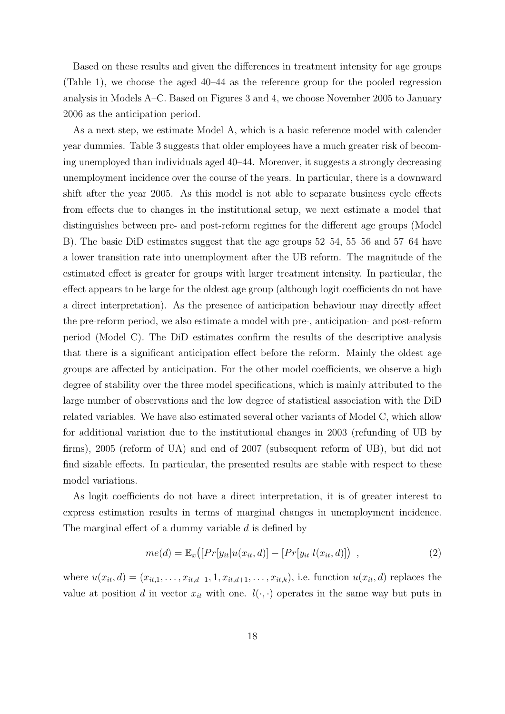Based on these results and given the differences in treatment intensity for age groups (Table [1\)](#page-6-0), we choose the aged 40–44 as the reference group for the pooled regression analysis in Models A–C. Based on Figures [3](#page-12-0) and [4,](#page-14-0) we choose November 2005 to January 2006 as the anticipation period.

As a next step, we estimate Model A, which is a basic reference model with calender year dummies. Table [3](#page-16-0) suggests that older employees have a much greater risk of becoming unemployed than individuals aged 40–44. Moreover, it suggests a strongly decreasing unemployment incidence over the course of the years. In particular, there is a downward shift after the year 2005. As this model is not able to separate business cycle effects from effects due to changes in the institutional setup, we next estimate a model that distinguishes between pre- and post-reform regimes for the different age groups (Model B). The basic DiD estimates suggest that the age groups 52–54, 55–56 and 57–64 have a lower transition rate into unemployment after the UB reform. The magnitude of the estimated effect is greater for groups with larger treatment intensity. In particular, the effect appears to be large for the oldest age group (although logit coefficients do not have a direct interpretation). As the presence of anticipation behaviour may directly affect the pre-reform period, we also estimate a model with pre-, anticipation- and post-reform period (Model C). The DiD estimates confirm the results of the descriptive analysis that there is a significant anticipation effect before the reform. Mainly the oldest age groups are affected by anticipation. For the other model coefficients, we observe a high degree of stability over the three model specifications, which is mainly attributed to the large number of observations and the low degree of statistical association with the DiD related variables. We have also estimated several other variants of Model C, which allow for additional variation due to the institutional changes in 2003 (refunding of UB by firms), 2005 (reform of UA) and end of 2007 (subsequent reform of UB), but did not find sizable effects. In particular, the presented results are stable with respect to these model variations.

As logit coefficients do not have a direct interpretation, it is of greater interest to express estimation results in terms of marginal changes in unemployment incidence. The marginal effect of a dummy variable d is defined by

$$
me(d) = \mathbb{E}_x([Pr[y_{it}|u(x_{it}, d)] - [Pr[y_{it}|l(x_{it}, d)]) , \qquad (2)
$$

where  $u(x_{it}, d) = (x_{it,1}, \ldots, x_{it,d-1}, 1, x_{it,d+1}, \ldots, x_{it,k}),$  i.e. function  $u(x_{it}, d)$  replaces the value at position d in vector  $x_{it}$  with one.  $l(\cdot, \cdot)$  operates in the same way but puts in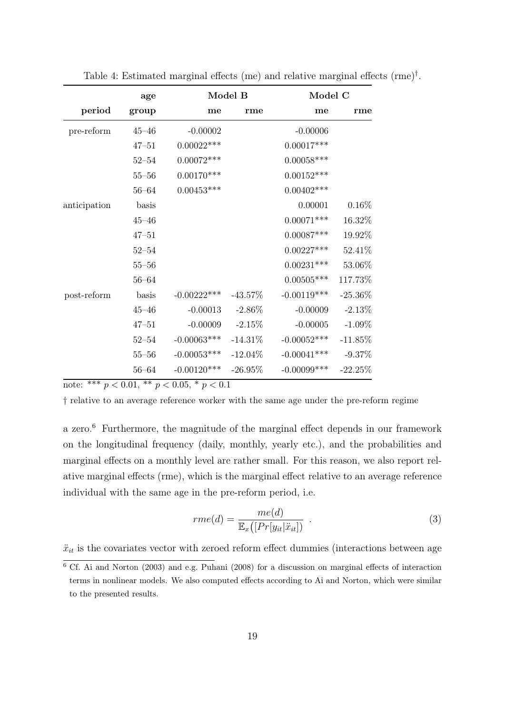|              | age       | Model B        |            | Model C        |            |
|--------------|-----------|----------------|------------|----------------|------------|
| period       | group     | me             | rme        | me             | rme        |
| pre-reform   | $45 - 46$ | $-0.00002$     |            | $-0.00006$     |            |
|              | $47 - 51$ | $0.00022***$   |            | $0.00017***$   |            |
|              | $52 - 54$ | $0.00072***$   |            | $0.00058***$   |            |
|              | $55 - 56$ | $0.00170***$   |            | $0.00152***$   |            |
|              | $56 - 64$ | $0.00453***$   |            | $0.00402***$   |            |
| anticipation | basis     |                |            | 0.00001        | 0.16%      |
|              | $45 - 46$ |                |            | $0.00071***$   | 16.32%     |
|              | $47 - 51$ |                |            | $0.00087***$   | 19.92%     |
|              | $52 - 54$ |                |            | $0.00227***$   | 52.41%     |
|              | $55 - 56$ |                |            | $0.00231***$   | 53.06%     |
|              | $56 - 64$ |                |            | $0.00505***$   | 117.73%    |
| post-reform  | basis     | $-0.00222***$  | $-43.57\%$ | $-0.00119***$  | $-25.36\%$ |
|              | $45 - 46$ | $-0.00013$     | $-2.86\%$  | $-0.00009$     | $-2.13%$   |
|              | $47 - 51$ | $-0.00009$     | $-2.15%$   | $-0.00005$     | $-1.09\%$  |
|              | $52 - 54$ | $-0.00063$ *** | $-14.31\%$ | $-0.00052***$  | $-11.85%$  |
|              | $55 - 56$ | $-0.00053***$  | $-12.04\%$ | $-0.00041***$  | $-9.37%$   |
|              | $56 - 64$ | $-0.00120***$  | $-26.95%$  | $-0.00099$ *** | $-22.25%$  |

<span id="page-18-0"></span>Table 4: Estimated marginal effects (me) and relative marginal effects (rme)† .

note: \*\*\*  $p < 0.01$ , \*\*  $p < 0.05$ , \*  $p < 0.1$ 

† relative to an average reference worker with the same age under the pre-reform regime

a zero.[6](#page-0-0) Furthermore, the magnitude of the marginal effect depends in our framework on the longitudinal frequency (daily, monthly, yearly etc.), and the probabilities and marginal effects on a monthly level are rather small. For this reason, we also report relative marginal effects (rme), which is the marginal effect relative to an average reference individual with the same age in the pre-reform period, i.e.

$$
rme(d) = \frac{me(d)}{\mathbb{E}_x\left( [Pr[y_{it}|\ddot{x}_{it}]\right)} . \tag{3}
$$

 $\ddot{x}_{it}$  is the covariates vector with zeroed reform effect dummies (interactions between age

<sup>6</sup> Cf. [Ai and Norton](#page-24-4) [\(2003\)](#page-24-4) and e.g. [Puhani](#page-26-9) [\(2008\)](#page-26-9) for a discussion on marginal effects of interaction terms in nonlinear models. We also computed effects according to Ai and Norton, which were similar to the presented results.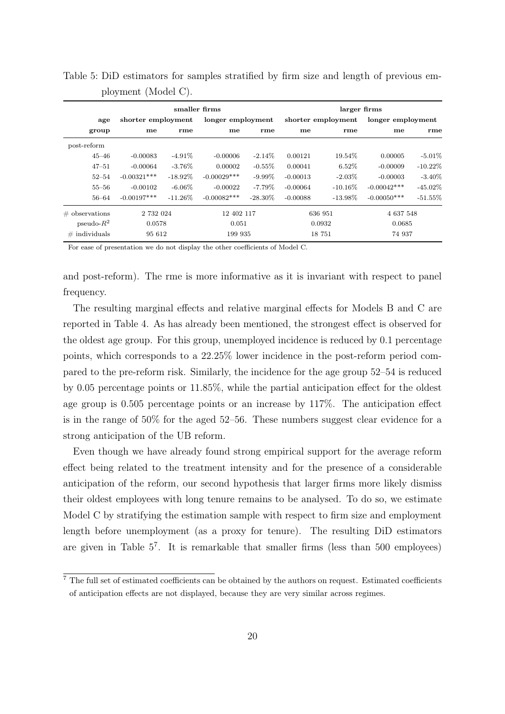|                   | smaller firms      |            |                   |                   | larger firms       |            |                   |            |
|-------------------|--------------------|------------|-------------------|-------------------|--------------------|------------|-------------------|------------|
| age               | shorter employment |            | longer employment |                   | shorter employment |            | longer employment |            |
| group             | me                 | rme        | me                | rme               | me                 | rme        | me                | rme        |
| post-reform       |                    |            |                   |                   |                    |            |                   |            |
| $45 - 46$         | $-0.00083$         | $-4.91\%$  | $-0.00006$        | $-2.14\%$         | 0.00121            | 19.54\%    | 0.00005           | $-5.01\%$  |
| $47 - 51$         | $-0.00064$         | $-3.76\%$  | 0.00002           | $-0.55\%$         | 0.00041            | 6.52%      | $-0.00009$        | $-10.22\%$ |
| $52 - 54$         | $-0.00321***$      | $-18.92\%$ | $-0.00029***$     | $-9.99\%$         | $-0.00013$         | $-2.03\%$  | $-0.00003$        | $-3.40\%$  |
| $55 - 56$         | $-0.00102$         | $-6.06\%$  | $-0.00022$        | $-7.79\%$         | $-0.00064$         | $-10.16\%$ | $-0.00042***$     | $-45.02\%$ |
| 56–64             | $-0.00197***$      | $-11.26\%$ | $-0.00082***$     | $-28.30\%$        | $-0.00088$         | $-13.98\%$ | $-0.00050***$     | $-51.55\%$ |
| $\#$ observations | 2 732 024          |            | 12 402 117        |                   | 636 951            |            | 4 637 548         |            |
| $pseudo-R^2$      | 0.0578             |            | 0.051             |                   | 0.0932             |            | 0.0685            |            |
| $\#$ individuals  | 95 612             |            |                   | 18 751<br>199 935 |                    | 74 937     |                   |            |

<span id="page-19-0"></span>Table 5: DiD estimators for samples stratified by firm size and length of previous employment (Model C).

For ease of presentation we do not display the other coefficients of Model C.

and post-reform). The rme is more informative as it is invariant with respect to panel frequency.

The resulting marginal effects and relative marginal effects for Models B and C are reported in Table [4.](#page-18-0) As has already been mentioned, the strongest effect is observed for the oldest age group. For this group, unemployed incidence is reduced by 0.1 percentage points, which corresponds to a 22.25% lower incidence in the post-reform period compared to the pre-reform risk. Similarly, the incidence for the age group 52–54 is reduced by 0.05 percentage points or 11.85%, while the partial anticipation effect for the oldest age group is 0.505 percentage points or an increase by 117%. The anticipation effect is in the range of 50% for the aged 52–56. These numbers suggest clear evidence for a strong anticipation of the UB reform.

Even though we have already found strong empirical support for the average reform effect being related to the treatment intensity and for the presence of a considerable anticipation of the reform, our second hypothesis that larger firms more likely dismiss their oldest employees with long tenure remains to be analysed. To do so, we estimate Model C by stratifying the estimation sample with respect to firm size and employment length before unemployment (as a proxy for tenure). The resulting DiD estimators are given in Table [5](#page-19-0)[7](#page-0-0) . It is remarkable that smaller firms (less than 500 employees)

<sup>7</sup> The full set of estimated coefficients can be obtained by the authors on request. Estimated coefficients of anticipation effects are not displayed, because they are very similar across regimes.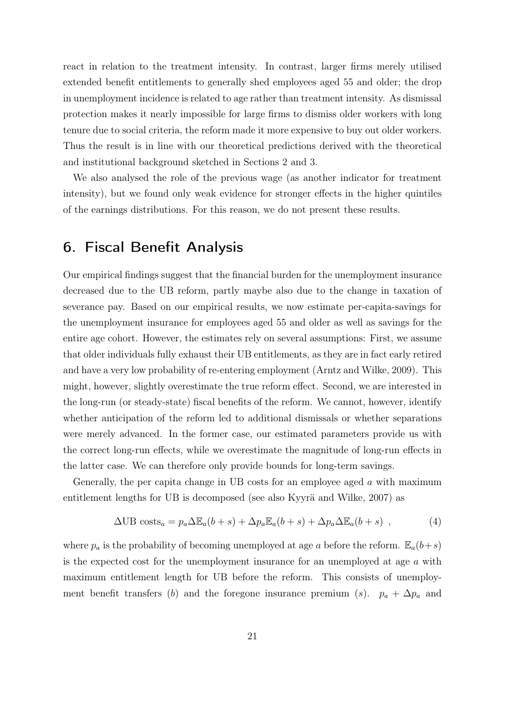react in relation to the treatment intensity. In contrast, larger firms merely utilised extended benefit entitlements to generally shed employees aged 55 and older; the drop in unemployment incidence is related to age rather than treatment intensity. As dismissal protection makes it nearly impossible for large firms to dismiss older workers with long tenure due to social criteria, the reform made it more expensive to buy out older workers. Thus the result is in line with our theoretical predictions derived with the theoretical and institutional background sketched in Sections 2 and 3.

We also analysed the role of the previous wage (as another indicator for treatment intensity), but we found only weak evidence for stronger effects in the higher quintiles of the earnings distributions. For this reason, we do not present these results.

# 6. Fiscal Benefit Analysis

Our empirical findings suggest that the financial burden for the unemployment insurance decreased due to the UB reform, partly maybe also due to the change in taxation of severance pay. Based on our empirical results, we now estimate per-capita-savings for the unemployment insurance for employees aged 55 and older as well as savings for the entire age cohort. However, the estimates rely on several assumptions: First, we assume that older individuals fully exhaust their UB entitlements, as they are in fact early retired and have a very low probability of re-entering employment [\(Arntz and Wilke, 2009\)](#page-24-5). This might, however, slightly overestimate the true reform effect. Second, we are interested in the long-run (or steady-state) fiscal benefits of the reform. We cannot, however, identify whether anticipation of the reform led to additional dismissals or whether separations were merely advanced. In the former case, our estimated parameters provide us with the correct long-run effects, while we overestimate the magnitude of long-run effects in the latter case. We can therefore only provide bounds for long-term savings.

Generally, the per capita change in UB costs for an employee aged a with maximum entitlement lengths for UB is decomposed (see also [Kyyrä and Wilke, 2007\)](#page-25-2) as

<span id="page-20-0"></span>
$$
\Delta \text{UB costs}_a = p_a \Delta \mathbb{E}_a(b+s) + \Delta p_a \mathbb{E}_a(b+s) + \Delta p_a \Delta \mathbb{E}_a(b+s) , \qquad (4)
$$

where  $p_a$  is the probability of becoming unemployed at age a before the reform.  $\mathbb{E}_a(b+s)$ is the expected cost for the unemployment insurance for an unemployed at age a with maximum entitlement length for UB before the reform. This consists of unemployment benefit transfers (b) and the foregone insurance premium (s).  $p_a + \Delta p_a$  and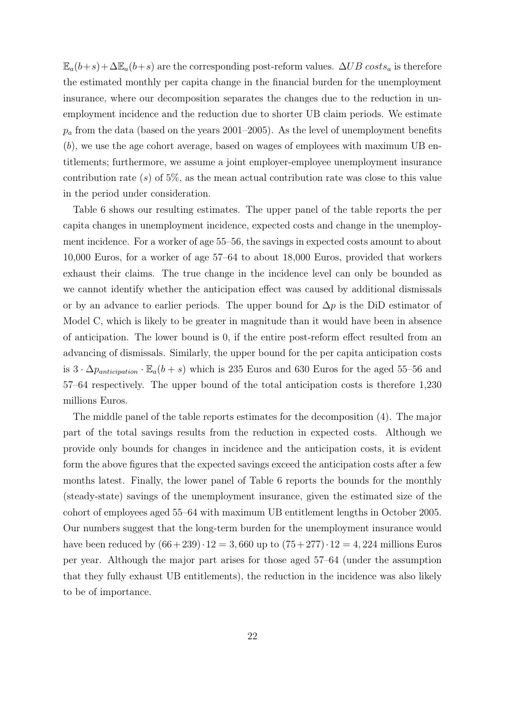$\mathbb{E}_a(b+s)+\Delta\mathbb{E}_a(b+s)$  are the corresponding post-reform values.  $\Delta UB \; costs_a$  is therefore the estimated monthly per capita change in the financial burden for the unemployment insurance, where our decomposition separates the changes due to the reduction in unemployment incidence and the reduction due to shorter UB claim periods. We estimate  $p_a$  from the data (based on the years 2001–2005). As the level of unemployment benefits (b), we use the age cohort average, based on wages of employees with maximum UB entitlements; furthermore, we assume a joint employer-employee unemployment insurance contribution rate  $(s)$  of 5%, as the mean actual contribution rate was close to this value in the period under consideration.

Table [6](#page-22-0) shows our resulting estimates. The upper panel of the table reports the per capita changes in unemployment incidence, expected costs and change in the unemployment incidence. For a worker of age 55–56, the savings in expected costs amount to about 10,000 Euros, for a worker of age 57–64 to about 18,000 Euros, provided that workers exhaust their claims. The true change in the incidence level can only be bounded as we cannot identify whether the anticipation effect was caused by additional dismissals or by an advance to earlier periods. The upper bound for  $\Delta p$  is the DiD estimator of Model C, which is likely to be greater in magnitude than it would have been in absence of anticipation. The lower bound is 0, if the entire post-reform effect resulted from an advancing of dismissals. Similarly, the upper bound for the per capita anticipation costs is  $3 \cdot \Delta p_{anticipation} \cdot \mathbb{E}_a(b+s)$  which is 235 Euros and 630 Euros for the aged 55–56 and 57–64 respectively. The upper bound of the total anticipation costs is therefore 1,230 millions Euros.

The middle panel of the table reports estimates for the decomposition [\(4\)](#page-20-0). The major part of the total savings results from the reduction in expected costs. Although we provide only bounds for changes in incidence and the anticipation costs, it is evident form the above figures that the expected savings exceed the anticipation costs after a few months latest. Finally, the lower panel of Table [6](#page-22-0) reports the bounds for the monthly (steady-state) savings of the unemployment insurance, given the estimated size of the cohort of employees aged 55–64 with maximum UB entitlement lengths in October 2005. Our numbers suggest that the long-term burden for the unemployment insurance would have been reduced by  $(66+239)\cdot 12 = 3,660$  up to  $(75+277)\cdot 12 = 4,224$  millions Euros per year. Although the major part arises for those aged 57–64 (under the assumption that they fully exhaust UB entitlements), the reduction in the incidence was also likely to be of importance.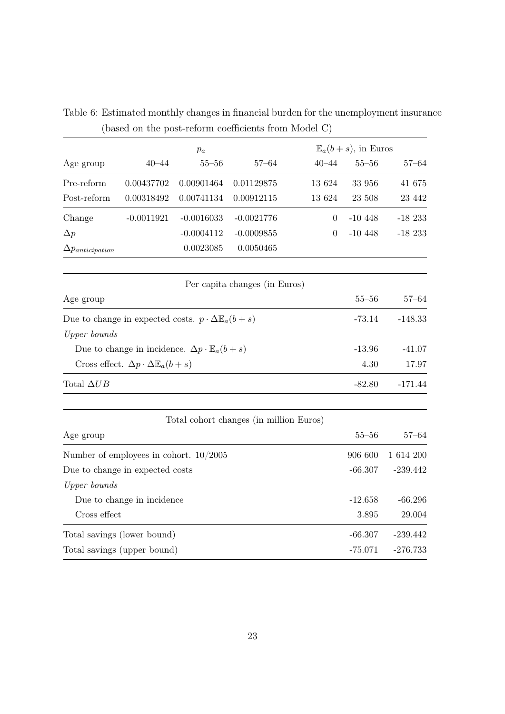|                                                         |                                                                     | $p_a$        |                                         |                | $\mathbb{E}_a(b+s)$ , in Euros |            |
|---------------------------------------------------------|---------------------------------------------------------------------|--------------|-----------------------------------------|----------------|--------------------------------|------------|
| Age group                                               | $40 - 44$                                                           | $55 - 56$    | $57 - 64$                               | $40 - 44$      | $55 - 56$                      | $57 - 64$  |
| Pre-reform                                              | 0.00437702                                                          | 0.00901464   | 0.01129875                              | 13 624         | 33 956                         | 41 675     |
| Post-reform                                             | 0.00318492                                                          | 0.00741134   | 0.00912115                              | 13 624         | 23 508                         | 23 442     |
| Change                                                  | $-0.0011921$                                                        | $-0.0016033$ | $-0.0021776$                            | $\theta$       | $-10448$                       | $-18233$   |
| $\Delta p$                                              |                                                                     | $-0.0004112$ | $-0.0009855$                            | $\overline{0}$ | $-10448$                       | $-18233$   |
| $\Delta p_{anticipation}$                               |                                                                     | 0.0023085    | 0.0050465                               |                |                                |            |
|                                                         |                                                                     |              | Per capita changes (in Euros)           |                |                                |            |
| Age group                                               |                                                                     |              |                                         |                | $55 - 56$                      | $57 - 64$  |
|                                                         | Due to change in expected costs. $p \cdot \Delta \mathbb{E}_a(b+s)$ |              |                                         |                | $-73.14$                       | $-148.33$  |
| Upper bounds                                            |                                                                     |              |                                         |                |                                |            |
|                                                         | Due to change in incidence. $\Delta p \cdot \mathbb{E}_a(b+s)$      |              | $-13.96$                                | $-41.07$       |                                |            |
| Cross effect. $\Delta p \cdot \Delta \mathbb{E}_a(b+s)$ |                                                                     |              |                                         |                | 4.30                           | 17.97      |
| Total $\Delta UB$                                       |                                                                     |              |                                         |                | $-82.80$                       | $-171.44$  |
|                                                         |                                                                     |              | Total cohort changes (in million Euros) |                |                                |            |
| Age group                                               |                                                                     |              |                                         |                | $55 - 56$                      | $57 - 64$  |
| Number of employees in cohort. $10/2005$                |                                                                     |              |                                         |                | 906 600                        | 1 614 200  |
| Due to change in expected costs                         |                                                                     |              |                                         |                | $-66.307$                      | $-239.442$ |
| Upper bounds                                            |                                                                     |              |                                         |                |                                |            |
| Due to change in incidence                              |                                                                     |              |                                         |                | $-12.658$                      | $-66.296$  |
| Cross effect                                            |                                                                     |              |                                         |                | 3.895                          | 29.004     |
|                                                         | Total savings (lower bound)                                         |              |                                         |                | $-66.307$                      | $-239.442$ |
| Total savings (upper bound)                             |                                                                     | $-75.071$    | $-276.733$                              |                |                                |            |

<span id="page-22-0"></span>Table 6: Estimated monthly changes in financial burden for the unemployment insurance (based on the post-reform coefficients from Model C)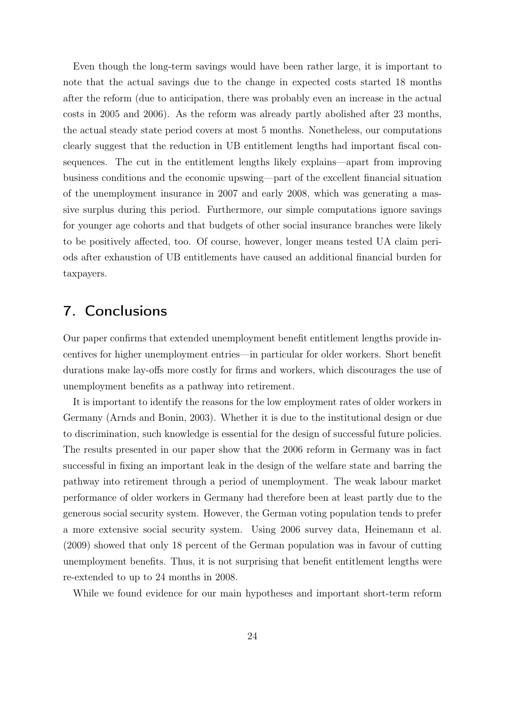Even though the long-term savings would have been rather large, it is important to note that the actual savings due to the change in expected costs started 18 months after the reform (due to anticipation, there was probably even an increase in the actual costs in 2005 and 2006). As the reform was already partly abolished after 23 months, the actual steady state period covers at most 5 months. Nonetheless, our computations clearly suggest that the reduction in UB entitlement lengths had important fiscal consequences. The cut in the entitlement lengths likely explains—apart from improving business conditions and the economic upswing—part of the excellent financial situation of the unemployment insurance in 2007 and early 2008, which was generating a massive surplus during this period. Furthermore, our simple computations ignore savings for younger age cohorts and that budgets of other social insurance branches were likely to be positively affected, too. Of course, however, longer means tested UA claim periods after exhaustion of UB entitlements have caused an additional financial burden for taxpayers.

#### 7. Conclusions

Our paper confirms that extended unemployment benefit entitlement lengths provide incentives for higher unemployment entries—in particular for older workers. Short benefit durations make lay-offs more costly for firms and workers, which discourages the use of unemployment benefits as a pathway into retirement.

It is important to identify the reasons for the low employment rates of older workers in Germany [\(Arnds and Bonin, 2003\)](#page-24-6). Whether it is due to the institutional design or due to discrimination, such knowledge is essential for the design of successful future policies. The results presented in our paper show that the 2006 reform in Germany was in fact successful in fixing an important leak in the design of the welfare state and barring the pathway into retirement through a period of unemployment. The weak labour market performance of older workers in Germany had therefore been at least partly due to the generous social security system. However, the German voting population tends to prefer a more extensive social security system. Using 2006 survey data, [Heinemann et al.](#page-25-12) [\(2009\)](#page-25-12) showed that only 18 percent of the German population was in favour of cutting unemployment benefits. Thus, it is not surprising that benefit entitlement lengths were re-extended to up to 24 months in 2008.

While we found evidence for our main hypotheses and important short-term reform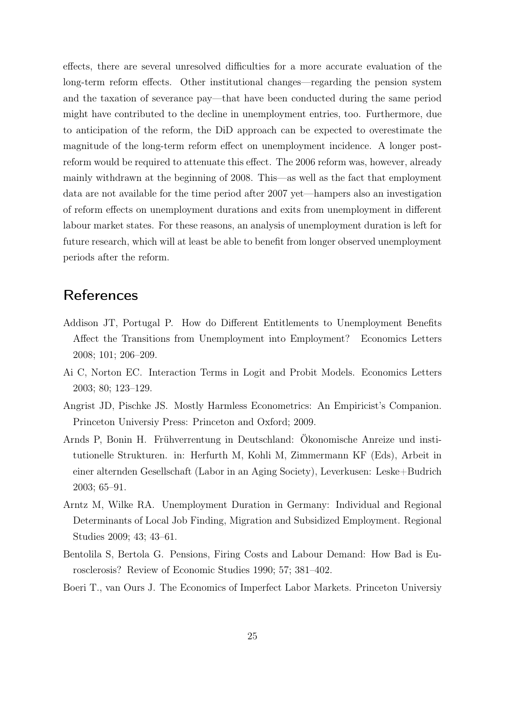effects, there are several unresolved difficulties for a more accurate evaluation of the long-term reform effects. Other institutional changes—regarding the pension system and the taxation of severance pay—that have been conducted during the same period might have contributed to the decline in unemployment entries, too. Furthermore, due to anticipation of the reform, the DiD approach can be expected to overestimate the magnitude of the long-term reform effect on unemployment incidence. A longer postreform would be required to attenuate this effect. The 2006 reform was, however, already mainly withdrawn at the beginning of 2008. This—as well as the fact that employment data are not available for the time period after 2007 yet—hampers also an investigation of reform effects on unemployment durations and exits from unemployment in different labour market states. For these reasons, an analysis of unemployment duration is left for future research, which will at least be able to benefit from longer observed unemployment periods after the reform.

# **References**

- <span id="page-24-2"></span>Addison JT, Portugal P. How do Different Entitlements to Unemployment Benefits Affect the Transitions from Unemployment into Employment? Economics Letters 2008; 101; 206–209.
- <span id="page-24-4"></span>Ai C, Norton EC. Interaction Terms in Logit and Probit Models. Economics Letters 2003; 80; 123–129.
- <span id="page-24-3"></span>Angrist JD, Pischke JS. Mostly Harmless Econometrics: An Empiricist's Companion. Princeton Universiy Press: Princeton and Oxford; 2009.
- <span id="page-24-6"></span>Arnds P, Bonin H. Frühverrentung in Deutschland: Ökonomische Anreize und institutionelle Strukturen. in: Herfurth M, Kohli M, Zimmermann KF (Eds), Arbeit in einer alternden Gesellschaft (Labor in an Aging Society), Leverkusen: Leske+Budrich 2003; 65–91.
- <span id="page-24-5"></span>Arntz M, Wilke RA. Unemployment Duration in Germany: Individual and Regional Determinants of Local Job Finding, Migration and Subsidized Employment. Regional Studies 2009; 43; 43–61.
- <span id="page-24-1"></span>Bentolila S, Bertola G. Pensions, Firing Costs and Labour Demand: How Bad is Eurosclerosis? Review of Economic Studies 1990; 57; 381–402.
- <span id="page-24-0"></span>Boeri T., van Ours J. The Economics of Imperfect Labor Markets. Princeton Universiy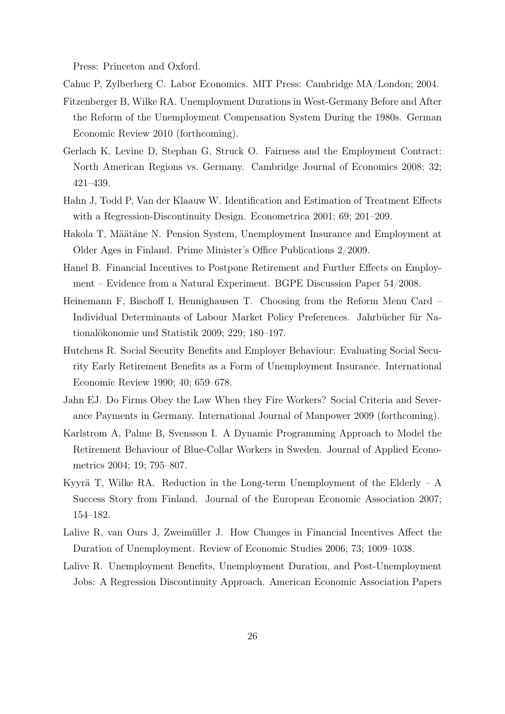Press: Princeton and Oxford.

<span id="page-25-3"></span><span id="page-25-1"></span>Cahuc P, Zylberberg C. Labor Economics. MIT Press: Cambridge MA/London; 2004.

- Fitzenberger B, Wilke RA. Unemployment Durations in West-Germany Before and After the Reform of the Unemployment Compensation System During the 1980s. German Economic Review 2010 (forthcoming).
- <span id="page-25-7"></span>Gerlach K, Levine D, Stephan G, Struck O. Fairness and the Employment Contract: North American Regions vs. Germany. Cambridge Journal of Economics 2008; 32; 421–439.
- <span id="page-25-11"></span>Hahn J, Todd P, Van der Klaauw W. Identification and Estimation of Treatment Effects with a Regression-Discontinuity Design. Econometrica 2001; 69; 201–209.
- <span id="page-25-4"></span>Hakola T, Määtäne N. Pension System, Unemployment Insurance and Employment at Older Ages in Finland. Prime Minister's Office Publications 2/2009.
- <span id="page-25-10"></span>Hanel B. Financial Incentives to Postpone Retirement and Further Effects on Employment – Evidence from a Natural Experiment. BGPE Discussion Paper 54/2008.
- <span id="page-25-12"></span>Heinemann F, Bischoff I, Hennighausen T. Choosing from the Reform Menu Card – Individual Determinants of Labour Market Policy Preferences. Jahrbücher für Nationalökonomie und Statistik 2009; 229; 180–197.
- <span id="page-25-0"></span>Hutchens R. Social Security Benefits and Employer Behaviour: Evaluating Social Security Early Retirement Benefits as a Form of Unemployment Insurance. International Economic Review 1990; 40; 659–678.
- <span id="page-25-6"></span>Jahn EJ. Do Firms Obey the Law When they Fire Workers? Social Criteria and Severance Payments in Germany. International Journal of Manpower 2009 (forthcoming).
- <span id="page-25-5"></span>Karlstrom A, Palme B, Svensson I. A Dynamic Programming Approach to Model the Retirement Behaviour of Blue-Collar Workers in Sweden. Journal of Applied Econometrics 2004; 19; 795–807.
- <span id="page-25-2"></span>Kyyrä T, Wilke RA. Reduction in the Long-term Unemployment of the Elderly  $-$  A Success Story from Finland. Journal of the European Economic Association 2007; 154–182.
- <span id="page-25-8"></span>Lalive R, van Ours J, Zweimüller J. How Changes in Financial Incentives Affect the Duration of Unemployment. Review of Economic Studies 2006; 73; 1009–1038.
- <span id="page-25-9"></span>Lalive R. Unemployment Benefits, Unemployment Duration, and Post-Unemployment Jobs: A Regression Discontinuity Approach. American Economic Association Papers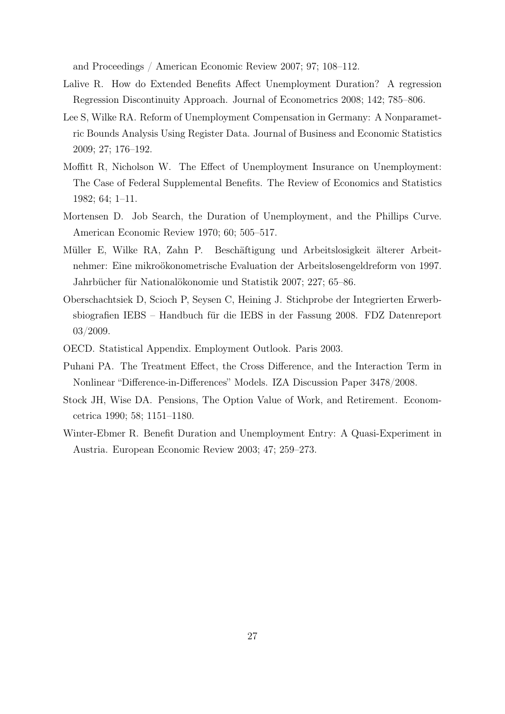and Proceedings / American Economic Review 2007; 97; 108–112.

- <span id="page-26-4"></span>Lalive R. How do Extended Benefits Affect Unemployment Duration? A regression Regression Discontinuity Approach. Journal of Econometrics 2008; 142; 785–806.
- <span id="page-26-5"></span>Lee S, Wilke RA. Reform of Unemployment Compensation in Germany: A Nonparametric Bounds Analysis Using Register Data. Journal of Business and Economic Statistics 2009; 27; 176–192.
- <span id="page-26-0"></span>Moffitt R, Nicholson W. The Effect of Unemployment Insurance on Unemployment: The Case of Federal Supplemental Benefits. The Review of Economics and Statistics 1982; 64; 1–11.
- <span id="page-26-1"></span>Mortensen D. Job Search, the Duration of Unemployment, and the Phillips Curve. American Economic Review 1970; 60; 505–517.
- <span id="page-26-6"></span>Müller E, Wilke RA, Zahn P. Beschäftigung und Arbeitslosigkeit älterer Arbeitnehmer: Eine mikroökonometrische Evaluation der Arbeitslosengeldreform von 1997. Jahrbücher für Nationalökonomie und Statistik 2007; 227; 65–86.
- <span id="page-26-8"></span>Oberschachtsiek D, Scioch P, Seysen C, Heining J. Stichprobe der Integrierten Erwerbsbiografien IEBS – Handbuch für die IEBS in der Fassung 2008. FDZ Datenreport 03/2009.
- <span id="page-26-9"></span><span id="page-26-3"></span>OECD. Statistical Appendix. Employment Outlook. Paris 2003.
- Puhani PA. The Treatment Effect, the Cross Difference, and the Interaction Term in Nonlinear "Difference-in-Differences" Models. IZA Discussion Paper 3478/2008.
- <span id="page-26-2"></span>Stock JH, Wise DA. Pensions, The Option Value of Work, and Retirement. Economcetrica 1990; 58; 1151–1180.
- <span id="page-26-7"></span>Winter-Ebmer R. Benefit Duration and Unemployment Entry: A Quasi-Experiment in Austria. European Economic Review 2003; 47; 259–273.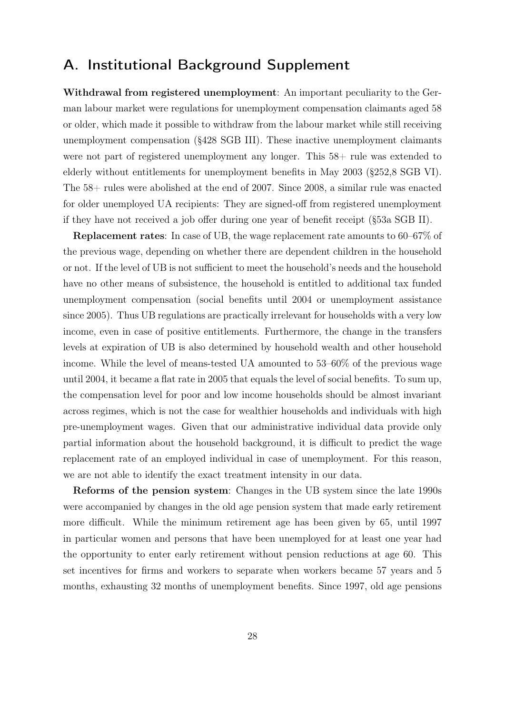# <span id="page-27-0"></span>A. Institutional Background Supplement

Withdrawal from registered unemployment: An important peculiarity to the German labour market were regulations for unemployment compensation claimants aged 58 or older, which made it possible to withdraw from the labour market while still receiving unemployment compensation (§428 SGB III). These inactive unemployment claimants were not part of registered unemployment any longer. This  $58+$  rule was extended to elderly without entitlements for unemployment benefits in May 2003 (§252,8 SGB VI). The 58+ rules were abolished at the end of 2007. Since 2008, a similar rule was enacted for older unemployed UA recipients: They are signed-off from registered unemployment if they have not received a job offer during one year of benefit receipt (§53a SGB II).

Replacement rates: In case of UB, the wage replacement rate amounts to 60–67% of the previous wage, depending on whether there are dependent children in the household or not. If the level of UB is not sufficient to meet the household's needs and the household have no other means of subsistence, the household is entitled to additional tax funded unemployment compensation (social benefits until 2004 or unemployment assistance since 2005). Thus UB regulations are practically irrelevant for households with a very low income, even in case of positive entitlements. Furthermore, the change in the transfers levels at expiration of UB is also determined by household wealth and other household income. While the level of means-tested UA amounted to 53–60% of the previous wage until 2004, it became a flat rate in 2005 that equals the level of social benefits. To sum up, the compensation level for poor and low income households should be almost invariant across regimes, which is not the case for wealthier households and individuals with high pre-unemployment wages. Given that our administrative individual data provide only partial information about the household background, it is difficult to predict the wage replacement rate of an employed individual in case of unemployment. For this reason, we are not able to identify the exact treatment intensity in our data.

Reforms of the pension system: Changes in the UB system since the late 1990s were accompanied by changes in the old age pension system that made early retirement more difficult. While the minimum retirement age has been given by 65, until 1997 in particular women and persons that have been unemployed for at least one year had the opportunity to enter early retirement without pension reductions at age 60. This set incentives for firms and workers to separate when workers became 57 years and 5 months, exhausting 32 months of unemployment benefits. Since 1997, old age pensions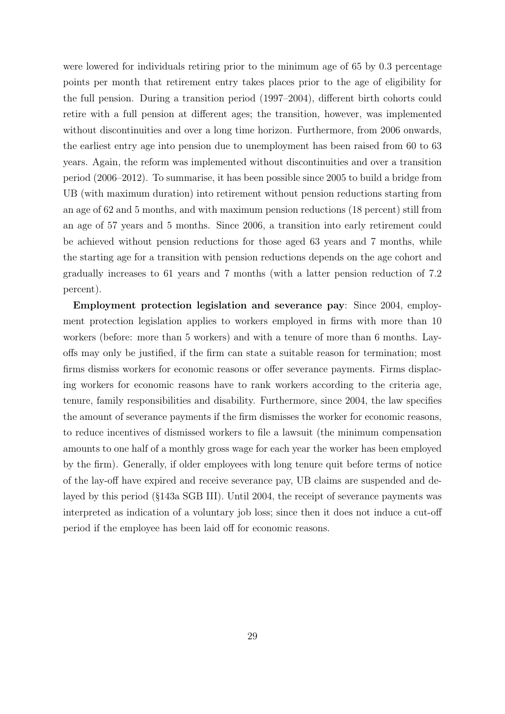were lowered for individuals retiring prior to the minimum age of 65 by 0.3 percentage points per month that retirement entry takes places prior to the age of eligibility for the full pension. During a transition period (1997–2004), different birth cohorts could retire with a full pension at different ages; the transition, however, was implemented without discontinuities and over a long time horizon. Furthermore, from 2006 onwards, the earliest entry age into pension due to unemployment has been raised from 60 to 63 years. Again, the reform was implemented without discontinuities and over a transition period (2006–2012). To summarise, it has been possible since 2005 to build a bridge from UB (with maximum duration) into retirement without pension reductions starting from an age of 62 and 5 months, and with maximum pension reductions (18 percent) still from an age of 57 years and 5 months. Since 2006, a transition into early retirement could be achieved without pension reductions for those aged 63 years and 7 months, while the starting age for a transition with pension reductions depends on the age cohort and gradually increases to 61 years and 7 months (with a latter pension reduction of 7.2 percent).

Employment protection legislation and severance pay: Since 2004, employment protection legislation applies to workers employed in firms with more than 10 workers (before: more than 5 workers) and with a tenure of more than 6 months. Layoffs may only be justified, if the firm can state a suitable reason for termination; most firms dismiss workers for economic reasons or offer severance payments. Firms displacing workers for economic reasons have to rank workers according to the criteria age, tenure, family responsibilities and disability. Furthermore, since 2004, the law specifies the amount of severance payments if the firm dismisses the worker for economic reasons, to reduce incentives of dismissed workers to file a lawsuit (the minimum compensation amounts to one half of a monthly gross wage for each year the worker has been employed by the firm). Generally, if older employees with long tenure quit before terms of notice of the lay-off have expired and receive severance pay, UB claims are suspended and delayed by this period (§143a SGB III). Until 2004, the receipt of severance payments was interpreted as indication of a voluntary job loss; since then it does not induce a cut-off period if the employee has been laid off for economic reasons.